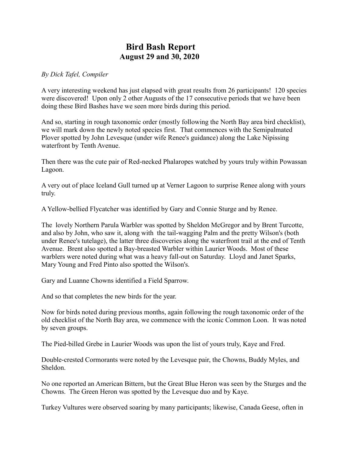## **Bird Bash Report August 29 and 30, 2020**

## *By Dick Tafel, Compiler*

A very interesting weekend has just elapsed with great results from 26 participants! 120 species were discovered! Upon only 2 other Augusts of the 17 consecutive periods that we have been doing these Bird Bashes have we seen more birds during this period.

And so, starting in rough taxonomic order (mostly following the North Bay area bird checklist), we will mark down the newly noted species first. That commences with the Semipalmated Plover spotted by John Levesque (under wife Renee's guidance) along the Lake Nipissing waterfront by Tenth Avenue.

Then there was the cute pair of Red-necked Phalaropes watched by yours truly within Powassan Lagoon.

A very out of place Iceland Gull turned up at Verner Lagoon to surprise Renee along with yours truly.

A Yellow-bellied Flycatcher was identified by Gary and Connie Sturge and by Renee.

The lovely Northern Parula Warbler was spotted by Sheldon McGregor and by Brent Turcotte, and also by John, who saw it, along with the tail-wagging Palm and the pretty Wilson's (both under Renee's tutelage), the latter three discoveries along the waterfront trail at the end of Tenth Avenue. Brent also spotted a Bay-breasted Warbler within Laurier Woods. Most of these warblers were noted during what was a heavy fall-out on Saturday. Lloyd and Janet Sparks, Mary Young and Fred Pinto also spotted the Wilson's.

Gary and Luanne Chowns identified a Field Sparrow.

And so that completes the new birds for the year.

Now for birds noted during previous months, again following the rough taxonomic order of the old checklist of the North Bay area, we commence with the iconic Common Loon. It was noted by seven groups.

The Pied-billed Grebe in Laurier Woods was upon the list of yours truly, Kaye and Fred.

Double-crested Cormorants were noted by the Levesque pair, the Chowns, Buddy Myles, and Sheldon.

No one reported an American Bittern, but the Great Blue Heron was seen by the Sturges and the Chowns. The Green Heron was spotted by the Levesque duo and by Kaye.

Turkey Vultures were observed soaring by many participants; likewise, Canada Geese, often in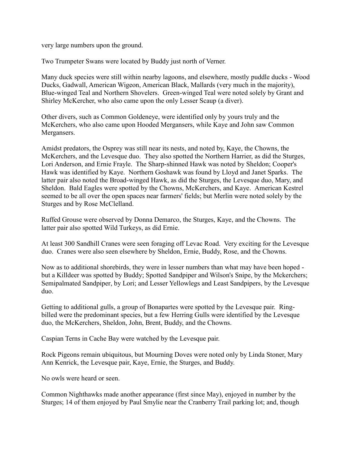very large numbers upon the ground.

Two Trumpeter Swans were located by Buddy just north of Verner.

Many duck species were still within nearby lagoons, and elsewhere, mostly puddle ducks - Wood Ducks, Gadwall, American Wigeon, American Black, Mallards (very much in the majority), Blue-winged Teal and Northern Shovelers. Green-winged Teal were noted solely by Grant and Shirley McKercher, who also came upon the only Lesser Scaup (a diver).

Other divers, such as Common Goldeneye, were identified only by yours truly and the McKerchers, who also came upon Hooded Mergansers, while Kaye and John saw Common Mergansers.

Amidst predators, the Osprey was still near its nests, and noted by, Kaye, the Chowns, the McKerchers, and the Levesque duo. They also spotted the Northern Harrier, as did the Sturges, Lori Anderson, and Ernie Frayle. The Sharp-shinned Hawk was noted by Sheldon; Cooper's Hawk was identified by Kaye. Northern Goshawk was found by Lloyd and Janet Sparks. The latter pair also noted the Broad-winged Hawk, as did the Sturges, the Levesque duo, Mary, and Sheldon. Bald Eagles were spotted by the Chowns, McKerchers, and Kaye. American Kestrel seemed to be all over the open spaces near farmers' fields; but Merlin were noted solely by the Sturges and by Rose McClelland.

Ruffed Grouse were observed by Donna Demarco, the Sturges, Kaye, and the Chowns. The latter pair also spotted Wild Turkeys, as did Ernie.

At least 300 Sandhill Cranes were seen foraging off Levac Road. Very exciting for the Levesque duo. Cranes were also seen elsewhere by Sheldon, Ernie, Buddy, Rose, and the Chowns.

Now as to additional shorebirds, they were in lesser numbers than what may have been hoped but a Killdeer was spotted by Buddy; Spotted Sandpiper and Wilson's Snipe, by the Mckerchers; Semipalmated Sandpiper, by Lori; and Lesser Yellowlegs and Least Sandpipers, by the Levesque duo.

Getting to additional gulls, a group of Bonapartes were spotted by the Levesque pair. Ringbilled were the predominant species, but a few Herring Gulls were identified by the Levesque duo, the McKerchers, Sheldon, John, Brent, Buddy, and the Chowns.

Caspian Terns in Cache Bay were watched by the Levesque pair.

Rock Pigeons remain ubiquitous, but Mourning Doves were noted only by Linda Stoner, Mary Ann Kenrick, the Levesque pair, Kaye, Ernie, the Sturges, and Buddy.

No owls were heard or seen.

Common Nighthawks made another appearance (first since May), enjoyed in number by the Sturges; 14 of them enjoyed by Paul Smylie near the Cranberry Trail parking lot; and, though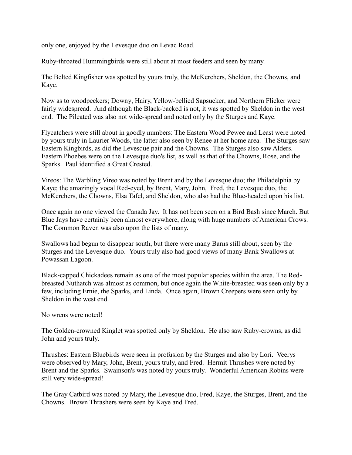only one, enjoyed by the Levesque duo on Levac Road.

Ruby-throated Hummingbirds were still about at most feeders and seen by many.

The Belted Kingfisher was spotted by yours truly, the McKerchers, Sheldon, the Chowns, and Kaye.

Now as to woodpeckers; Downy, Hairy, Yellow-bellied Sapsucker, and Northern Flicker were fairly widespread. And although the Black-backed is not, it was spotted by Sheldon in the west end. The Pileated was also not wide-spread and noted only by the Sturges and Kaye.

Flycatchers were still about in goodly numbers: The Eastern Wood Pewee and Least were noted by yours truly in Laurier Woods, the latter also seen by Renee at her home area. The Sturges saw Eastern Kingbirds, as did the Levesque pair and the Chowns. The Sturges also saw Alders. Eastern Phoebes were on the Levesque duo's list, as well as that of the Chowns, Rose, and the Sparks. Paul identified a Great Crested.

Vireos: The Warbling Vireo was noted by Brent and by the Levesque duo; the Philadelphia by Kaye; the amazingly vocal Red-eyed, by Brent, Mary, John, Fred, the Levesque duo, the McKerchers, the Chowns, Elsa Tafel, and Sheldon, who also had the Blue-headed upon his list.

Once again no one viewed the Canada Jay. It has not been seen on a Bird Bash since March. But Blue Jays have certainly been almost everywhere, along with huge numbers of American Crows. The Common Raven was also upon the lists of many.

Swallows had begun to disappear south, but there were many Barns still about, seen by the Sturges and the Levesque duo. Yours truly also had good views of many Bank Swallows at Powassan Lagoon.

Black-capped Chickadees remain as one of the most popular species within the area. The Redbreasted Nuthatch was almost as common, but once again the White-breasted was seen only by a few, including Ernie, the Sparks, and Linda. Once again, Brown Creepers were seen only by Sheldon in the west end.

No wrens were noted!

The Golden-crowned Kinglet was spotted only by Sheldon. He also saw Ruby-crowns, as did John and yours truly.

Thrushes: Eastern Bluebirds were seen in profusion by the Sturges and also by Lori. Veerys were observed by Mary, John, Brent, yours truly, and Fred. Hermit Thrushes were noted by Brent and the Sparks. Swainson's was noted by yours truly. Wonderful American Robins were still very wide-spread!

The Gray Catbird was noted by Mary, the Levesque duo, Fred, Kaye, the Sturges, Brent, and the Chowns. Brown Thrashers were seen by Kaye and Fred.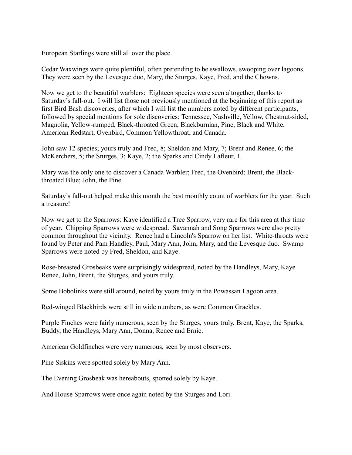European Starlings were still all over the place.

Cedar Waxwings were quite plentiful, often pretending to be swallows, swooping over lagoons. They were seen by the Levesque duo, Mary, the Sturges, Kaye, Fred, and the Chowns.

Now we get to the beautiful warblers: Eighteen species were seen altogether, thanks to Saturday's fall-out. I will list those not previously mentioned at the beginning of this report as first Bird Bash discoveries, after which I will list the numbers noted by different participants, followed by special mentions for sole discoveries: Tennessee, Nashville, Yellow, Chestnut-sided, Magnolia, Yellow-rumped, Black-throated Green, Blackburnian, Pine, Black and White, American Redstart, Ovenbird, Common Yellowthroat, and Canada.

John saw 12 species; yours truly and Fred, 8; Sheldon and Mary, 7; Brent and Renee, 6; the McKerchers, 5; the Sturges, 3; Kaye, 2; the Sparks and Cindy Lafleur, 1.

Mary was the only one to discover a Canada Warbler; Fred, the Ovenbird; Brent, the Blackthroated Blue; John, the Pine.

Saturday's fall-out helped make this month the best monthly count of warblers for the year. Such a treasure!

Now we get to the Sparrows: Kaye identified a Tree Sparrow, very rare for this area at this time of year. Chipping Sparrows were widespread. Savannah and Song Sparrows were also pretty common throughout the vicinity. Renee had a Lincoln's Sparrow on her list. White-throats were found by Peter and Pam Handley, Paul, Mary Ann, John, Mary, and the Levesque duo. Swamp Sparrows were noted by Fred, Sheldon, and Kaye.

Rose-breasted Grosbeaks were surprisingly widespread, noted by the Handleys, Mary, Kaye Renee, John, Brent, the Sturges, and yours truly.

Some Bobolinks were still around, noted by yours truly in the Powassan Lagoon area.

Red-winged Blackbirds were still in wide numbers, as were Common Grackles.

Purple Finches were fairly numerous, seen by the Sturges, yours truly, Brent, Kaye, the Sparks, Buddy, the Handleys, Mary Ann, Donna, Renee and Ernie.

American Goldfinches were very numerous, seen by most observers.

Pine Siskins were spotted solely by Mary Ann.

The Evening Grosbeak was hereabouts, spotted solely by Kaye.

And House Sparrows were once again noted by the Sturges and Lori.